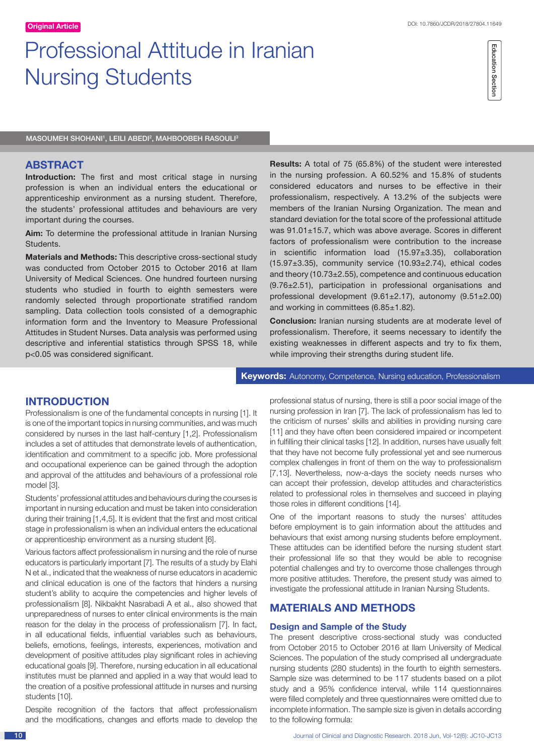# Professional Attitude in Iranian Nursing Students

MASOUMEH SHOHANI', LEILI ABEDI<del>'</del>, MAHBOOBEH RASOULI<sup>3</sup>

## **ABSTRACT**

**Introduction:** The first and most critical stage in nursing profession is when an individual enters the educational or apprenticeship environment as a nursing student. Therefore, the students' professional attitudes and behaviours are very important during the courses.

**Aim:** To determine the professional attitude in Iranian Nursing Students.

**Materials and Methods:** This descriptive cross-sectional study was conducted from October 2015 to October 2016 at Ilam University of Medical Sciences. One hundred fourteen nursing students who studied in fourth to eighth semesters were randomly selected through proportionate stratified random sampling. Data collection tools consisted of a demographic information form and the Inventory to Measure Professional Attitudes in Student Nurses. Data analysis was performed using descriptive and inferential statistics through SPSS 18, while p<0.05 was considered significant.

**Results:** A total of 75 (65.8%) of the student were interested in the nursing profession. A 60.52% and 15.8% of students considered educators and nurses to be effective in their professionalism, respectively. A 13.2% of the subjects were members of the Iranian Nursing Organization. The mean and standard deviation for the total score of the professional attitude was 91.01±15.7, which was above average. Scores in different factors of professionalism were contribution to the increase in scientific information load (15.97±3.35), collaboration (15.97±3.35), community service (10.93±2.74), ethical codes and theory (10.73±2.55), competence and continuous education (9.76±2.51), participation in professional organisations and professional development (9.61±2.17), autonomy (9.51±2.00) and working in committees (6.85±1.82).

**Conclusion:** Iranian nursing students are at moderate level of professionalism. Therefore, it seems necessary to identify the existing weaknesses in different aspects and try to fix them, while improving their strengths during student life.

**Keywords:** Autonomy, Competence, Nursing education, Professionalism

## **INTRODUCTION**

Professionalism is one of the fundamental concepts in nursing [1]. It is one of the important topics in nursing communities, and was much considered by nurses in the last half-century [1,2]. Professionalism includes a set of attitudes that demonstrate levels of authentication, identification and commitment to a specific job. More professional and occupational experience can be gained through the adoption and approval of the attitudes and behaviours of a professional role model [3].

Students' professional attitudes and behaviours during the courses is important in nursing education and must be taken into consideration during their training [1,4,5]. It is evident that the first and most critical stage in professionalism is when an individual enters the educational or apprenticeship environment as a nursing student [6].

Various factors affect professionalism in nursing and the role of nurse educators is particularly important [7]. The results of a study by Elahi N et al., indicated that the weakness of nurse educators in academic and clinical education is one of the factors that hinders a nursing student's ability to acquire the competencies and higher levels of professionalism [8]. Nikbakht Nasrabadi A et al., also showed that unpreparedness of nurses to enter clinical environments is the main reason for the delay in the process of professionalism [7]. In fact, in all educational fields, influential variables such as behaviours, beliefs, emotions, feelings, interests, experiences, motivation and development of positive attitudes play significant roles in achieving educational goals [9]. Therefore, nursing education in all educational institutes must be planned and applied in a way that would lead to the creation of a positive professional attitude in nurses and nursing students [10].

Despite recognition of the factors that affect professionalism and the modifications, changes and efforts made to develop the professional status of nursing, there is still a poor social image of the nursing profession in Iran [7]. The lack of professionalism has led to the criticism of nurses' skills and abilities in providing nursing care [11] and they have often been considered impaired or incompetent in fulfilling their clinical tasks [12]. In addition, nurses have usually felt that they have not become fully professional yet and see numerous complex challenges in front of them on the way to professionalism [7,13]. Nevertheless, now-a-days the society needs nurses who can accept their profession, develop attitudes and characteristics related to professional roles in themselves and succeed in playing those roles in different conditions [14].

One of the important reasons to study the nurses' attitudes before employment is to gain information about the attitudes and behaviours that exist among nursing students before employment. These attitudes can be identified before the nursing student start their professional life so that they would be able to recognise potential challenges and try to overcome those challenges through more positive attitudes. Therefore, the present study was aimed to investigate the professional attitude in Iranian Nursing Students.

# **MATERIALS AND METHODS**

#### **Design and Sample of the Study**

The present descriptive cross-sectional study was conducted from October 2015 to October 2016 at Ilam University of Medical Sciences. The population of the study comprised all undergraduate nursing students (280 students) in the fourth to eighth semesters. Sample size was determined to be 117 students based on a pilot study and a 95% confidence interval, while 114 questionnaires were filled completely and three questionnaires were omitted due to incomplete information. The sample size is given in details according to the following formula: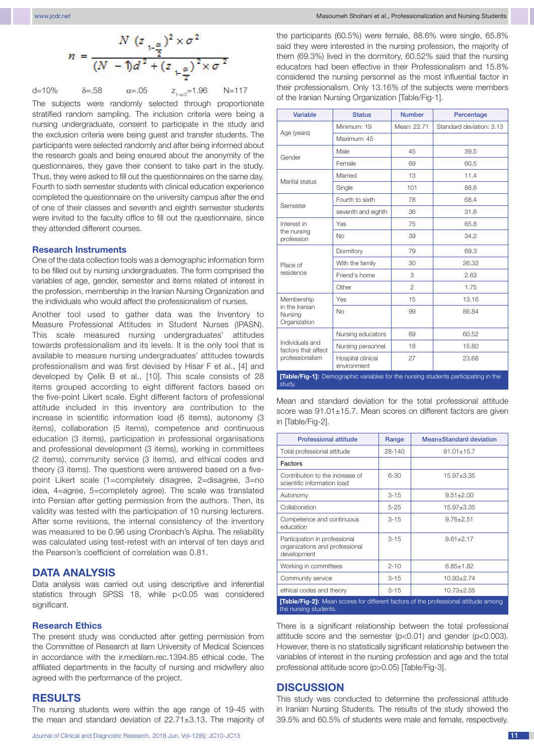$$
n = \frac{N (z_{1-\frac{\alpha}{2}})^2 \times \sigma^2}{(N-1)d^2 + (z_{1-\frac{\alpha}{2}})^2 \times \sigma^2}
$$

d=10%  $\delta$ =.58  $\alpha$ =.05  $z_{1-\alpha/2}$ =1.96 N=117

The subjects were randomly selected through proportionate stratified random sampling. The inclusion criteria were being a nursing undergraduate, consent to participate in the study and the exclusion criteria were being guest and transfer students. The participants were selected randomly and after being informed about the research goals and being ensured about the anonymity of the questionnaires, they gave their consent to take part in the study. Thus, they were asked to fill out the questionnaires on the same day. Fourth to sixth semester students with clinical education experience completed the questionnaire on the university campus after the end of one of their classes and seventh and eighth semester students were invited to the faculty office to fill out the questionnaire, since they attended different courses.

#### **Research Instruments**

One of the data collection tools was a demographic information form to be filled out by nursing undergraduates. The form comprised the variables of age, gender, semester and items related of interest in the profession, membership in the Iranian Nursing Organization and the individuals who would affect the professionalism of nurses.

Another tool used to gather data was the Inventory to Measure Professional Attitudes in Student Nurses (IPASN). This scale measured nursing undergraduates' attitudes towards professionalism and its levels. It is the only tool that is available to measure nursing undergraduates' attitudes towards professionalism and was first devised by Hisar F et al., [4] and developed by Çelik B et al., [10]. This scale consists of 28 items grouped according to eight different factors based on the five-point Likert scale. Eight different factors of professional attitude included in this inventory are contribution to the increase in scientific information load (6 items), autonomy (3 items), collaboration (5 items), competence and continuous education (3 items), participation in professional organisations and professional development (3 items), working in committees (2 items), community service (3 items), and ethical codes and theory (3 items). The questions were answered based on a fivepoint Likert scale (1=completely disagree, 2=disagree, 3=no idea, 4=agree, 5=completely agree). The scale was translated into Persian after getting permission from the authors. Then, its validity was tested with the participation of 10 nursing lecturers. After some revisions, the internal consistency of the inventory was measured to be 0.96 using Cronbach's Alpha. The reliability was calculated using test-retest with an interval of ten days and the Pearson's coefficient of correlation was 0.81.

## **DATA ANALYSIS**

Data analysis was carried out using descriptive and inferential statistics through SPSS 18, while p<0.05 was considered significant.

#### **Research Ethics**

The present study was conducted after getting permission from the Committee of Research at Ilam University of Medical Sciences in accordance with the ir.medilam.rec.1394.85 ethical code. The affiliated departments in the faculty of nursing and midwifery also agreed with the performance of the project.

#### **RESULTS**

The nursing students were within the age range of 19-45 with the mean and standard deviation of 22.71±3.13. The majority of the participants (60.5%) were female, 88.6% were single, 65.8% said they were interested in the nursing profession, the majority of them (69.3%) lived in the dormitory, 60.52% said that the nursing educators had been effective in their Professionalism and 15.8% considered the nursing personnel as the most influential factor in their professionalism. Only 13.16% of the subjects were members of the Iranian Nursing Organization [Table/Fig-1].

| <b>Variable</b>                                                                              | <b>Status</b>                    | <b>Number</b>  | Percentage               |  |  |  |
|----------------------------------------------------------------------------------------------|----------------------------------|----------------|--------------------------|--|--|--|
| Age (years)                                                                                  | Minimum: 19                      | Mean: 22.71    | Standard deviation: 3.13 |  |  |  |
|                                                                                              | Maximum: 45                      |                |                          |  |  |  |
| Gender                                                                                       | Male                             | 45             | 39.5                     |  |  |  |
|                                                                                              | Female                           | 69             | 60.5                     |  |  |  |
| Marital status                                                                               | Married                          | 13             | 11.4                     |  |  |  |
|                                                                                              | Single                           | 101            | 88.6                     |  |  |  |
| Semester                                                                                     | Fourth to sixth                  | 78             | 68.4                     |  |  |  |
|                                                                                              | seventh and eighth               | 36             | 31.6                     |  |  |  |
| Interest in<br>the nursing<br>profession                                                     | Yes                              | 75             | 65.8                     |  |  |  |
|                                                                                              | <b>No</b>                        | 39             | 34.2                     |  |  |  |
| Place of<br>residence                                                                        | Dormitory                        | 79             | 69.3                     |  |  |  |
|                                                                                              | With the family                  | 30             | 26.32                    |  |  |  |
|                                                                                              | Friend's home                    | 3              | 2.63                     |  |  |  |
|                                                                                              | Other                            | $\overline{2}$ | 1.75                     |  |  |  |
| Membership<br>in the Iranian<br>Nursing<br>Organization                                      | Yes                              | 15             | 13.16                    |  |  |  |
|                                                                                              | <b>No</b>                        | 99             | 86.84                    |  |  |  |
| Individuals and<br>factors that affect<br>professionalism                                    | Nursing educators                | 69             | 60.52                    |  |  |  |
|                                                                                              | Nursing personnel                | 18             | 15.80                    |  |  |  |
|                                                                                              | Hospital clinical<br>environment | 27             | 23.68                    |  |  |  |
| [Table/Fig-1]: Demographic variables for the nursing students participating in the<br>study. |                                  |                |                          |  |  |  |

Mean and standard deviation for the total professional attitude score was 91.01±15.7. Mean scores on different factors are given in [Table/Fig-2].

| <b>Professional attitude</b>                                                                                        | Range    | Mean±Standard deviation |  |  |  |
|---------------------------------------------------------------------------------------------------------------------|----------|-------------------------|--|--|--|
| Total professional attitude                                                                                         | 28-140   | $91.01 \pm 15.7$        |  |  |  |
| <b>Factors</b>                                                                                                      |          |                         |  |  |  |
| Contribution to the increase of<br>scientific information load                                                      | $6 - 30$ | $15.97 \pm 3.35$        |  |  |  |
| Autonomy                                                                                                            | $3 - 15$ | $9.51 \pm 2.00$         |  |  |  |
| Collaboration                                                                                                       | $5 - 25$ | $15.97 \pm 3.35$        |  |  |  |
| Competence and continuous<br>education                                                                              | $3 - 15$ | $9.76 + 2.51$           |  |  |  |
| Participation in professional<br>organizations and professional<br>development                                      | $3 - 15$ | $9.61 \pm 2.17$         |  |  |  |
| Working in committees                                                                                               | $2 - 10$ | $6.85 \pm 1.82$         |  |  |  |
| Community service                                                                                                   | $3 - 15$ | $10.93 \pm 2.74$        |  |  |  |
| ethical codes and theory                                                                                            | $3 - 15$ | $10.73 \pm 2.55$        |  |  |  |
| <b>[Table/Fig-2]:</b> Mean scores for different factors of the professional attitude among<br>the nursing students. |          |                         |  |  |  |

There is a significant relationship between the total professional attitude score and the semester (p<0.01) and gender (p<0.003). However, there is no statistically significant relationship between the variables of interest in the nursing profession and age and the total professional attitude score (p>0.05) [Table/Fig-3].

## **DISCUSSION**

This study was conducted to determine the professional attitude in Iranian Nursing Students. The results of the study showed the 39.5% and 60.5% of students were male and female, respectively.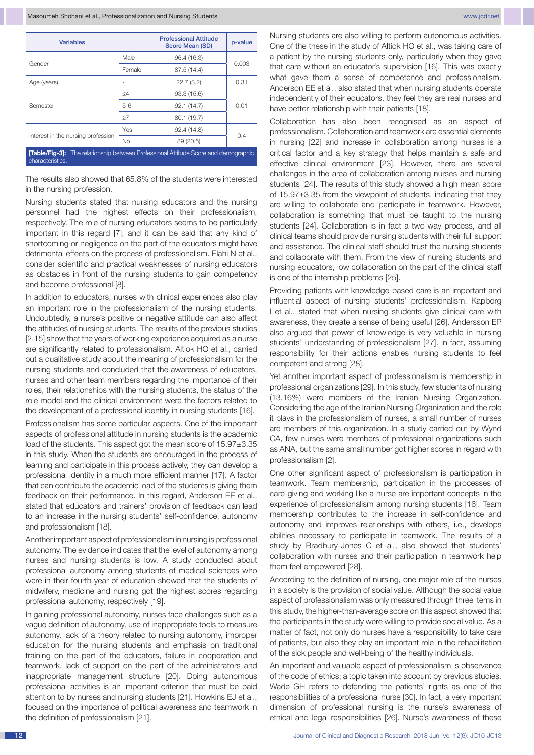| <b>Variables</b>                                                                                              |           | <b>Professional Attitude</b><br>Score Mean (SD) | p-value |  |  |  |
|---------------------------------------------------------------------------------------------------------------|-----------|-------------------------------------------------|---------|--|--|--|
| Gender                                                                                                        | Male      | 96.4 (16.3)                                     | 0.003   |  |  |  |
|                                                                                                               | Female    | 87.5 (14.4)                                     |         |  |  |  |
| Age (years)                                                                                                   |           | 22.7(3.2)                                       | 0.31    |  |  |  |
|                                                                                                               | $\leq 4$  | 93.3(15.6)                                      | 0.01    |  |  |  |
| Semester                                                                                                      | $5-6$     | 92.1(14.7)                                      |         |  |  |  |
|                                                                                                               | >7        | 80.1 (19.7)                                     |         |  |  |  |
|                                                                                                               | Yes       | 92.4 (14.8)                                     |         |  |  |  |
| Interest in the nursing profession                                                                            | <b>No</b> | 89 (20.5)                                       | 0.4     |  |  |  |
| <b>Table/Fig-31:</b> The relationship between Professional Attitude Score and demographic<br>characteristics. |           |                                                 |         |  |  |  |

The results also showed that 65.8% of the students were interested in the nursing profession.

Nursing students stated that nursing educators and the nursing personnel had the highest effects on their professionalism, respectively. The role of nursing educators seems to be particularly important in this regard [7], and it can be said that any kind of shortcoming or negligence on the part of the educators might have detrimental effects on the process of professionalism. Elahi N et al., consider scientific and practical weaknesses of nursing educators as obstacles in front of the nursing students to gain competency and become professional [8].

In addition to educators, nurses with clinical experiences also play an important role in the professionalism of the nursing students. Undoubtedly, a nurse's positive or negative attitude can also affect the attitudes of nursing students. The results of the previous studies [2,15] show that the years of working experience acquired as a nurse are significantly related to professionalism. Altiok HO et al., carried out a qualitative study about the meaning of professionalism for the nursing students and concluded that the awareness of educators, nurses and other team members regarding the importance of their roles, their relationships with the nursing students, the status of the role model and the clinical environment were the factors related to the development of a professional identity in nursing students [16].

Professionalism has some particular aspects. One of the important aspects of professional attitude in nursing students is the academic load of the students. This aspect got the mean score of 15.97 $\pm$ 3.35 in this study. When the students are encouraged in the process of learning and participate in this process actively, they can develop a professional identity in a much more efficient manner [17]. A factor that can contribute the academic load of the students is giving them feedback on their performance. In this regard, Anderson EE et al., stated that educators and trainers' provision of feedback can lead to an increase in the nursing students' self-confidence, autonomy and professionalism [18].

Another important aspect of professionalism in nursing is professional autonomy. The evidence indicates that the level of autonomy among nurses and nursing students is low. A study conducted about professional autonomy among students of medical sciences who were in their fourth year of education showed that the students of midwifery, medicine and nursing got the highest scores regarding professional autonomy, respectively [19].

In gaining professional autonomy, nurses face challenges such as a vague definition of autonomy, use of inappropriate tools to measure autonomy, lack of a theory related to nursing autonomy, improper education for the nursing students and emphasis on traditional training on the part of the educators, failure in cooperation and teamwork, lack of support on the part of the administrators and inappropriate management structure [20]. Doing autonomous professional activities is an important criterion that must be paid attention to by nurses and nursing students [21]. Howkins EJ et al., focused on the importance of political awareness and teamwork in the definition of professionalism [21].

Nursing students are also willing to perform autonomous activities. One of the these in the study of Altiok HO et al., was taking care of a patient by the nursing students only, particularly when they gave that care without an educator's supervision [16]. This was exactly what gave them a sense of competence and professionalism. Anderson EE et al., also stated that when nursing students operate independently of their educators, they feel they are real nurses and have better relationship with their patients [18].

Collaboration has also been recognised as an aspect of professionalism. Collaboration and teamwork are essential elements in nursing [22] and increase in collaboration among nurses is a critical factor and a key strategy that helps maintain a safe and effective clinical environment [23]. However, there are several challenges in the area of collaboration among nurses and nursing students [24]. The results of this study showed a high mean score of 15.97±3.35 from the viewpoint of students, indicating that they are willing to collaborate and participate in teamwork. However, collaboration is something that must be taught to the nursing students [24]. Collaboration is in fact a two-way process, and all clinical teams should provide nursing students with their full support and assistance. The clinical staff should trust the nursing students and collaborate with them. From the view of nursing students and nursing educators, low collaboration on the part of the clinical staff is one of the internship problems [25].

Providing patients with knowledge-based care is an important and influential aspect of nursing students' professionalism. Kapborg I et al., stated that when nursing students give clinical care with awareness, they create a sense of being useful [26]. Andersson EP also argued that power of knowledge is very valuable in nursing students' understanding of professionalism [27]. In fact, assuming responsibility for their actions enables nursing students to feel competent and strong [28].

Yet another important aspect of professionalism is membership in professional organizations [29]. In this study, few students of nursing (13.16%) were members of the Iranian Nursing Organization. Considering the age of the Iranian Nursing Organization and the role it plays in the professionalism of nurses, a small number of nurses are members of this organization. In a study carried out by Wynd CA, few nurses were members of professional organizations such as ANA, but the same small number got higher scores in regard with professionalism [2].

One other significant aspect of professionalism is participation in teamwork. Team membership, participation in the processes of care-giving and working like a nurse are important concepts in the experience of professionalism among nursing students [16]. Team membership contributes to the increase in self-confidence and autonomy and improves relationships with others, i.e., develops abilities necessary to participate in teamwork. The results of a study by Bradbury-Jones C et al., also showed that students' collaboration with nurses and their participation in teamwork help them feel empowered [28].

According to the definition of nursing, one major role of the nurses in a society is the provision of social value. Although the social value aspect of professionalism was only measured through three items in this study, the higher-than-average score on this aspect showed that the participants in the study were willing to provide social value. As a matter of fact, not only do nurses have a responsibility to take care of patients, but also they play an important role in the rehabilitation of the sick people and well-being of the healthy individuals.

An important and valuable aspect of professionalism is observance of the code of ethics; a topic taken into account by previous studies. Wade GH refers to defending the patients' rights as one of the responsibilities of a professional nurse [30]. In fact, a very important dimension of professional nursing is the nurse's awareness of ethical and legal responsibilities [26]. Nurse's awareness of these